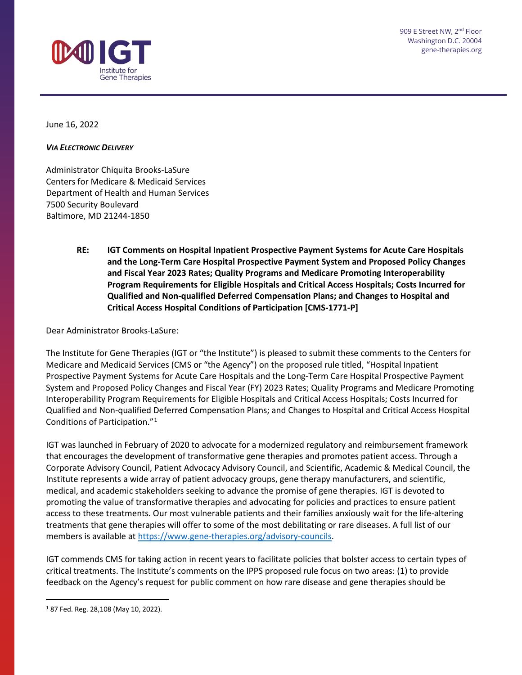

June 16, 2022

#### *VIA ELECTRONIC DELIVERY*

Administrator Chiquita Brooks-LaSure Centers for Medicare & Medicaid Services Department of Health and Human Services 7500 Security Boulevard Baltimore, MD 21244-1850

> **RE: IGT Comments on Hospital Inpatient Prospective Payment Systems for Acute Care Hospitals and the Long-Term Care Hospital Prospective Payment System and Proposed Policy Changes and Fiscal Year 2023 Rates; Quality Programs and Medicare Promoting Interoperability Program Requirements for Eligible Hospitals and Critical Access Hospitals; Costs Incurred for Qualified and Non-qualified Deferred Compensation Plans; and Changes to Hospital and Critical Access Hospital Conditions of Participation [CMS-1771-P]**

Dear Administrator Brooks-LaSure:

The Institute for Gene Therapies (IGT or "the Institute") is pleased to submit these comments to the Centers for Medicare and Medicaid Services (CMS or "the Agency") on the proposed rule titled, "Hospital Inpatient Prospective Payment Systems for Acute Care Hospitals and the Long-Term Care Hospital Prospective Payment System and Proposed Policy Changes and Fiscal Year (FY) 2023 Rates; Quality Programs and Medicare Promoting Interoperability Program Requirements for Eligible Hospitals and Critical Access Hospitals; Costs Incurred for Qualified and Non-qualified Deferred Compensation Plans; and Changes to Hospital and Critical Access Hospital Conditions of Participation."[1](#page-0-0)

IGT was launched in February of 2020 to advocate for a modernized regulatory and reimbursement framework that encourages the development of transformative gene therapies and promotes patient access. Through a Corporate Advisory Council, Patient Advocacy Advisory Council, and Scientific, Academic & Medical Council, the Institute represents a wide array of patient advocacy groups, gene therapy manufacturers, and scientific, medical, and academic stakeholders seeking to advance the promise of gene therapies. IGT is devoted to promoting the value of transformative therapies and advocating for policies and practices to ensure patient access to these treatments. Our most vulnerable patients and their families anxiously wait for the life-altering treatments that gene therapies will offer to some of the most debilitating or rare diseases. A full list of our members is available at [https://www.gene-therapies.org/advisory-councils.](https://www.gene-therapies.org/advisory-councils)

IGT commends CMS for taking action in recent years to facilitate policies that bolster access to certain types of critical treatments. The Institute's comments on the IPPS proposed rule focus on two areas: (1) to provide feedback on the Agency's request for public comment on how rare disease and gene therapies should be

<span id="page-0-0"></span><sup>1</sup> 87 Fed. Reg. 28,108 (May 10, 2022).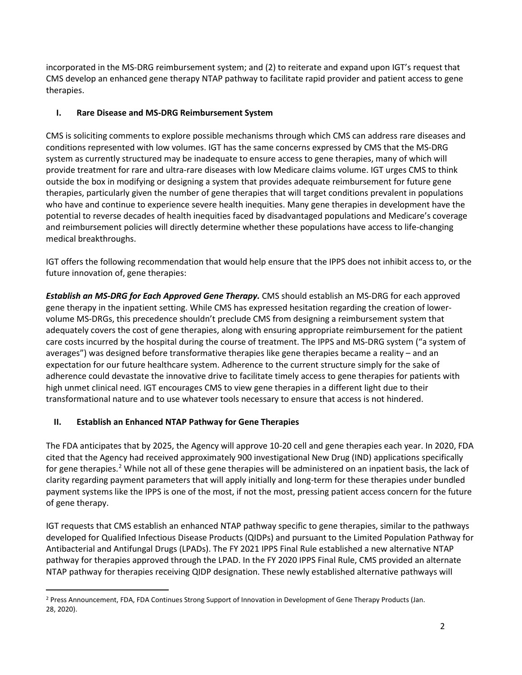incorporated in the MS-DRG reimbursement system; and (2) to reiterate and expand upon IGT's request that CMS develop an enhanced gene therapy NTAP pathway to facilitate rapid provider and patient access to gene therapies.

## **I. Rare Disease and MS-DRG Reimbursement System**

CMS is soliciting comments to explore possible mechanisms through which CMS can address rare diseases and conditions represented with low volumes. IGT has the same concerns expressed by CMS that the MS-DRG system as currently structured may be inadequate to ensure access to gene therapies, many of which will provide treatment for rare and ultra-rare diseases with low Medicare claims volume. IGT urges CMS to think outside the box in modifying or designing a system that provides adequate reimbursement for future gene therapies, particularly given the number of gene therapies that will target conditions prevalent in populations who have and continue to experience severe health inequities. Many gene therapies in development have the potential to reverse decades of health inequities faced by disadvantaged populations and Medicare's coverage and reimbursement policies will directly determine whether these populations have access to life-changing medical breakthroughs.

IGT offers the following recommendation that would help ensure that the IPPS does not inhibit access to, or the future innovation of, gene therapies:

*Establish an MS-DRG for Each Approved Gene Therapy.* CMS should establish an MS-DRG for each approved gene therapy in the inpatient setting. While CMS has expressed hesitation regarding the creation of lowervolume MS-DRGs, this precedence shouldn't preclude CMS from designing a reimbursement system that adequately covers the cost of gene therapies, along with ensuring appropriate reimbursement for the patient care costs incurred by the hospital during the course of treatment. The IPPS and MS-DRG system ("a system of averages") was designed before transformative therapies like gene therapies became a reality – and an expectation for our future healthcare system. Adherence to the current structure simply for the sake of adherence could devastate the innovative drive to facilitate timely access to gene therapies for patients with high unmet clinical need. IGT encourages CMS to view gene therapies in a different light due to their transformational nature and to use whatever tools necessary to ensure that access is not hindered.

# **II. Establish an Enhanced NTAP Pathway for Gene Therapies**

The FDA anticipates that by 2025, the Agency will approve 10-20 cell and gene therapies each year. In 2020, FDA cited that the Agency had received approximately 900 investigational New Drug (IND) applications specifically for gene therapies.<sup>[2](#page-1-0)</sup> While not all of these gene therapies will be administered on an inpatient basis, the lack of clarity regarding payment parameters that will apply initially and long-term for these therapies under bundled payment systems like the IPPS is one of the most, if not the most, pressing patient access concern for the future of gene therapy.

IGT requests that CMS establish an enhanced NTAP pathway specific to gene therapies, similar to the pathways developed for Qualified Infectious Disease Products (QIDPs) and pursuant to the Limited Population Pathway for Antibacterial and Antifungal Drugs (LPADs). The FY 2021 IPPS Final Rule established a new alternative NTAP pathway for therapies approved through the LPAD. In the FY 2020 IPPS Final Rule, CMS provided an alternate NTAP pathway for therapies receiving QIDP designation. These newly established alternative pathways will

<span id="page-1-0"></span><sup>2</sup> Press Announcement, FDA, FDA Continues Strong Support of Innovation in Development of Gene Therapy Products (Jan. 28, 2020).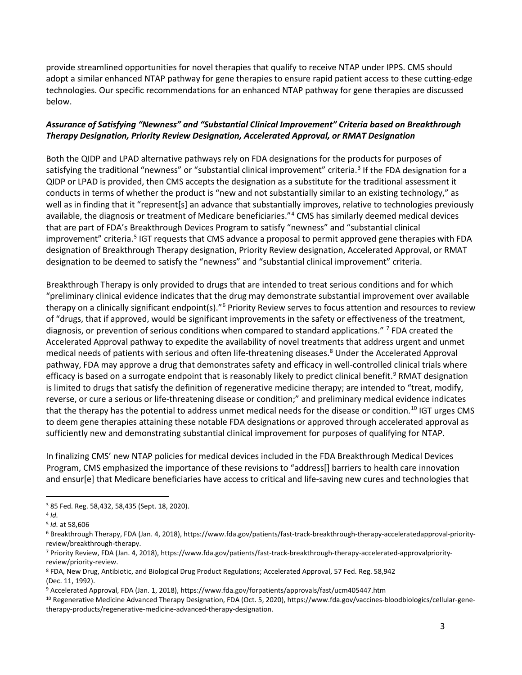provide streamlined opportunities for novel therapies that qualify to receive NTAP under IPPS. CMS should adopt a similar enhanced NTAP pathway for gene therapies to ensure rapid patient access to these cutting-edge technologies. Our specific recommendations for an enhanced NTAP pathway for gene therapies are discussed below.

### *Assurance of Satisfying "Newness" and "Substantial Clinical Improvement" Criteria based on Breakthrough Therapy Designation, Priority Review Designation, Accelerated Approval, or RMAT Designation*

Both the QIDP and LPAD alternative pathways rely on FDA designations for the products for purposes of satisfying the traditional "newness" or "substantial clinical improvement" criteria.<sup>[3](#page-2-0)</sup> If the FDA designation for a QIDP or LPAD is provided, then CMS accepts the designation as a substitute for the traditional assessment it conducts in terms of whether the product is "new and not substantially similar to an existing technology," as well as in finding that it "represent[s] an advance that substantially improves, relative to technologies previously available, the diagnosis or treatment of Medicare beneficiaries."<sup>[4](#page-2-1)</sup> CMS has similarly deemed medical devices that are part of FDA's Breakthrough Devices Program to satisfy "newness" and "substantial clinical improvement" criteria.<sup>[5](#page-2-2)</sup> IGT requests that CMS advance a proposal to permit approved gene therapies with FDA designation of Breakthrough Therapy designation, Priority Review designation, Accelerated Approval, or RMAT designation to be deemed to satisfy the "newness" and "substantial clinical improvement" criteria.

Breakthrough Therapy is only provided to drugs that are intended to treat serious conditions and for which "preliminary clinical evidence indicates that the drug may demonstrate substantial improvement over available therapy on a clinically significant endpoint(s)."<sup>[6](#page-2-3)</sup> Priority Review serves to focus attention and resources to review of "drugs, that if approved, would be significant improvements in the safety or effectiveness of the treatment, diagnosis, or prevention of serious conditions when compared to standard applications." <sup>[7](#page-2-4)</sup> FDA created the Accelerated Approval pathway to expedite the availability of novel treatments that address urgent and unmet medical needs of patients with serious and often life-threatening diseases.<sup>[8](#page-2-5)</sup> Under the Accelerated Approval pathway, FDA may approve a drug that demonstrates safety and efficacy in well-controlled clinical trials where efficacy is based on a surrogate endpoint that is reasonably likely to predict clinical benefit.<sup>[9](#page-2-6)</sup> RMAT designation is limited to drugs that satisfy the definition of regenerative medicine therapy; are intended to "treat, modify, reverse, or cure a serious or life-threatening disease or condition;" and preliminary medical evidence indicates that the therapy has the potential to address unmet medical needs for the disease or condition.<sup>[10](#page-2-7)</sup> IGT urges CMS to deem gene therapies attaining these notable FDA designations or approved through accelerated approval as sufficiently new and demonstrating substantial clinical improvement for purposes of qualifying for NTAP.

In finalizing CMS' new NTAP policies for medical devices included in the FDA Breakthrough Medical Devices Program, CMS emphasized the importance of these revisions to "address[] barriers to health care innovation and ensur[e] that Medicare beneficiaries have access to critical and life-saving new cures and technologies that

<span id="page-2-0"></span><sup>3</sup> 85 Fed. Reg. 58,432, 58,435 (Sept. 18, 2020).

<span id="page-2-1"></span><sup>4</sup> *Id.*

<span id="page-2-2"></span><sup>5</sup> *Id.* at 58,606

<span id="page-2-3"></span><sup>6</sup> Breakthrough Therapy, FDA (Jan. 4, 2018), https://www.fda.gov/patients/fast-track-breakthrough-therapy-acceleratedapproval-priorityreview/breakthrough-therapy.

<span id="page-2-4"></span><sup>7</sup> Priority Review, FDA (Jan. 4, 2018), https://www.fda.gov/patients/fast-track-breakthrough-therapy-accelerated-approvalpriorityreview/priority-review.

<span id="page-2-5"></span><sup>8</sup> FDA, New Drug, Antibiotic, and Biological Drug Product Regulations; Accelerated Approval, 57 Fed. Reg. 58,942 (Dec. 11, 1992).

<span id="page-2-6"></span><sup>9</sup> Accelerated Approval, FDA (Jan. 1, 2018), https://www.fda.gov/forpatients/approvals/fast/ucm405447.htm

<span id="page-2-7"></span><sup>10</sup> Regenerative Medicine Advanced Therapy Designation, FDA (Oct. 5, 2020), https://www.fda.gov/vaccines-bloodbiologics/cellular-genetherapy-products/regenerative-medicine-advanced-therapy-designation.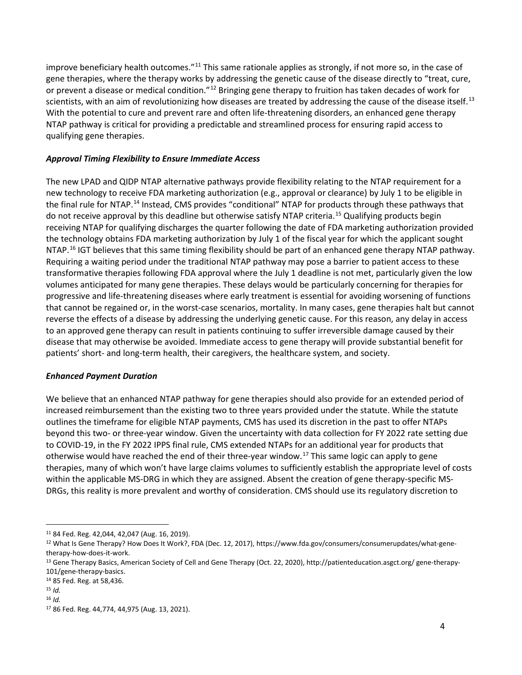improve beneficiary health outcomes."<sup>[11](#page-3-0)</sup> This same rationale applies as strongly, if not more so, in the case of gene therapies, where the therapy works by addressing the genetic cause of the disease directly to "treat, cure, or prevent a disease or medical condition."[12](#page-3-1) Bringing gene therapy to fruition has taken decades of work for scientists, with an aim of revolutionizing how diseases are treated by addressing the cause of the disease itself.<sup>[13](#page-3-2)</sup> With the potential to cure and prevent rare and often life-threatening disorders, an enhanced gene therapy NTAP pathway is critical for providing a predictable and streamlined process for ensuring rapid access to qualifying gene therapies.

### *Approval Timing Flexibility to Ensure Immediate Access*

The new LPAD and QIDP NTAP alternative pathways provide flexibility relating to the NTAP requirement for a new technology to receive FDA marketing authorization (e.g., approval or clearance) by July 1 to be eligible in the final rule for NTAP.<sup>[14](#page-3-3)</sup> Instead, CMS provides "conditional" NTAP for products through these pathways that do not receive approval by this deadline but otherwise satisfy NTAP criteria.<sup>[15](#page-3-4)</sup> Qualifying products begin receiving NTAP for qualifying discharges the quarter following the date of FDA marketing authorization provided the technology obtains FDA marketing authorization by July 1 of the fiscal year for which the applicant sought NTAP.<sup>[16](#page-3-5)</sup> IGT believes that this same timing flexibility should be part of an enhanced gene therapy NTAP pathway. Requiring a waiting period under the traditional NTAP pathway may pose a barrier to patient access to these transformative therapies following FDA approval where the July 1 deadline is not met, particularly given the low volumes anticipated for many gene therapies. These delays would be particularly concerning for therapies for progressive and life-threatening diseases where early treatment is essential for avoiding worsening of functions that cannot be regained or, in the worst-case scenarios, mortality. In many cases, gene therapies halt but cannot reverse the effects of a disease by addressing the underlying genetic cause. For this reason, any delay in access to an approved gene therapy can result in patients continuing to suffer irreversible damage caused by their disease that may otherwise be avoided. Immediate access to gene therapy will provide substantial benefit for patients' short- and long-term health, their caregivers, the healthcare system, and society.

#### *Enhanced Payment Duration*

We believe that an enhanced NTAP pathway for gene therapies should also provide for an extended period of increased reimbursement than the existing two to three years provided under the statute. While the statute outlines the timeframe for eligible NTAP payments, CMS has used its discretion in the past to offer NTAPs beyond this two- or three-year window. Given the uncertainty with data collection for FY 2022 rate setting due to COVID-19, in the FY 2022 IPPS final rule, CMS extended NTAPs for an additional year for products that otherwise would have reached the end of their three-year window.<sup>[17](#page-3-6)</sup> This same logic can apply to gene therapies, many of which won't have large claims volumes to sufficiently establish the appropriate level of costs within the applicable MS-DRG in which they are assigned. Absent the creation of gene therapy-specific MS-DRGs, this reality is more prevalent and worthy of consideration. CMS should use its regulatory discretion to

<span id="page-3-0"></span><sup>11</sup> 84 Fed. Reg. 42,044, 42,047 (Aug. 16, 2019).

<span id="page-3-1"></span><sup>12</sup> What Is Gene Therapy? How Does It Work?, FDA (Dec. 12, 2017), https://www.fda.gov/consumers/consumerupdates/what-genetherapy-how-does-it-work.

<span id="page-3-2"></span><sup>13</sup> Gene Therapy Basics, American Society of Cell and Gene Therapy (Oct. 22, 2020), http://patienteducation.asgct.org/ gene-therapy-101/gene-therapy-basics.

<span id="page-3-3"></span><sup>14</sup> 85 Fed. Reg. at 58,436.

<span id="page-3-4"></span><sup>15</sup> *Id.* 

<span id="page-3-5"></span><sup>16</sup> *Id.* 

<span id="page-3-6"></span><sup>17</sup> 86 Fed. Reg. 44,774, 44,975 (Aug. 13, 2021).